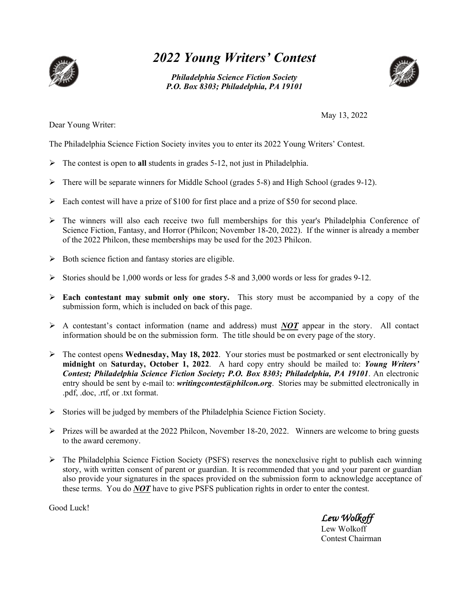

## *2022 Young Writers' Contest*

*Philadelphia Science Fiction Society P.O. Box 8303; Philadelphia, PA 19101*



Dear Young Writer:

May 13, 2022

The Philadelphia Science Fiction Society invites you to enter its 2022 Young Writers' Contest.

- The contest is open to **all** students in grades 5-12, not just in Philadelphia.
- $\triangleright$  There will be separate winners for Middle School (grades 5-8) and High School (grades 9-12).
- $\triangleright$  Each contest will have a prize of \$100 for first place and a prize of \$50 for second place.
- The winners will also each receive two full memberships for this year's Philadelphia Conference of Science Fiction, Fantasy, and Horror (Philcon; November 18-20, 2022). If the winner is already a member of the 2022 Philcon, these memberships may be used for the 2023 Philcon.
- $\triangleright$  Both science fiction and fantasy stories are eligible.
- Stories should be 1,000 words or less for grades 5-8 and 3,000 words or less for grades 9-12.
- **Each contestant may submit only one story.** This story must be accompanied by a copy of the submission form, which is included on back of this page.
- $\triangleright$  A contestant's contact information (name and address) must *NOT* appear in the story. All contact information should be on the submission form. The title should be on every page of the story.
- $\triangleright$  The contest opens **Wednesday, May 18, 2022**. Your stories must be postmarked or sent electronically by **midnight** on **Saturday, October 1, 2022**. A hard copy entry should be mailed to: *Young Writers' Contest; Philadelphia Science Fiction Society; P.O. Box 8303; Philadelphia, PA 19101*. An electronic entry should be sent by e-mail to: *writingcontest@philcon.org*. Stories may be submitted electronically in .pdf, .doc, .rtf, or .txt format.
- Stories will be judged by members of the Philadelphia Science Fiction Society.
- $\triangleright$  Prizes will be awarded at the 2022 Philcon, November 18-20, 2022. Winners are welcome to bring guests to the award ceremony.
- $\triangleright$  The Philadelphia Science Fiction Society (PSFS) reserves the nonexclusive right to publish each winning story, with written consent of parent or guardian. It is recommended that you and your parent or guardian also provide your signatures in the spaces provided on the submission form to acknowledge acceptance of these terms. You do *NOT* have to give PSFS publication rights in order to enter the contest.

Good Luck!

*Lew Wolkoff* 

Lew Wolkoff Contest Chairman